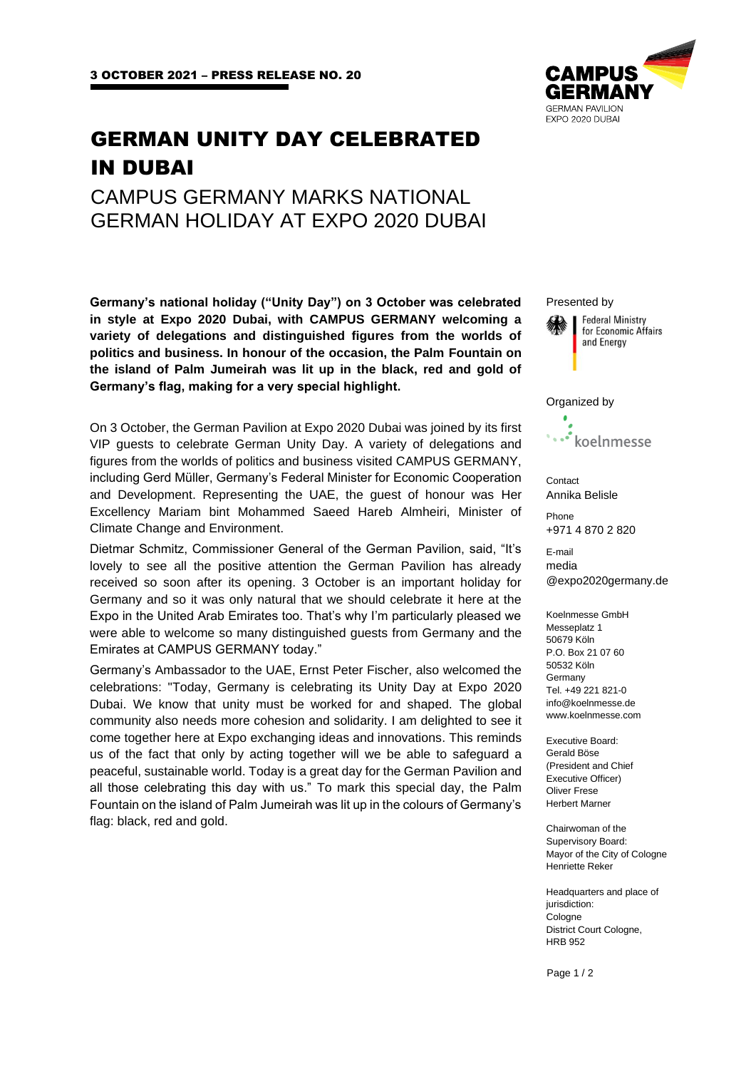# GERMAN UNITY DAY CELEBRATED IN DUBAI

# CAMPUS GERMANY MARKS NATIONAL GERMAN HOLIDAY AT EXPO 2020 DUBAI

**Germany's national holiday ("Unity Day") on 3 October was celebrated in style at Expo 2020 Dubai, with CAMPUS GERMANY welcoming a variety of delegations and distinguished figures from the worlds of politics and business. In honour of the occasion, the Palm Fountain on the island of Palm Jumeirah was lit up in the black, red and gold of Germany's flag, making for a very special highlight.** 

On 3 October, the German Pavilion at Expo 2020 Dubai was joined by its first VIP guests to celebrate German Unity Day. A variety of delegations and figures from the worlds of politics and business visited CAMPUS GERMANY, including Gerd Müller, Germany's Federal Minister for Economic Cooperation and Development. Representing the UAE, the guest of honour was Her Excellency Mariam bint Mohammed Saeed Hareb Almheiri, Minister of Climate Change and Environment.

Dietmar Schmitz, Commissioner General of the German Pavilion, said, "It's lovely to see all the positive attention the German Pavilion has already received so soon after its opening. 3 October is an important holiday for Germany and so it was only natural that we should celebrate it here at the Expo in the United Arab Emirates too. That's why I'm particularly pleased we were able to welcome so many distinguished guests from Germany and the Emirates at CAMPUS GERMANY today."

Germany's Ambassador to the UAE, Ernst Peter Fischer, also welcomed the celebrations: "Today, Germany is celebrating its Unity Day at Expo 2020 Dubai. We know that unity must be worked for and shaped. The global community also needs more cohesion and solidarity. I am delighted to see it come together here at Expo exchanging ideas and innovations. This reminds us of the fact that only by acting together will we be able to safeguard a peaceful, sustainable world. Today is a great day for the German Pavilion and all those celebrating this day with us." To mark this special day, the Palm Fountain on the island of Palm Jumeirah was lit up in the colours of Germany's flag: black, red and gold.



Presented by **Federal Ministry** for Economic Affairs and Energy Organized by koelnmesse **Contact** Annika Belisle Phone +971 4 870 2 820 E-mail media @expo2020germany.de Koelnmesse GmbH Messeplatz 1 50679 Köln P.O. Box 21 07 60 50532 Köln Germany Tel. +49 221 821-0 info@koelnmesse.de www.koelnmesse.com Executive Board: Gerald Böse (President and Chief

Executive Officer) Oliver Frese Herbert Marner

Chairwoman of the Supervisory Board: Mayor of the City of Cologne Henriette Reker

Headquarters and place of jurisdiction: Cologne District Court Cologne, HRB 952

Page 1 / 2